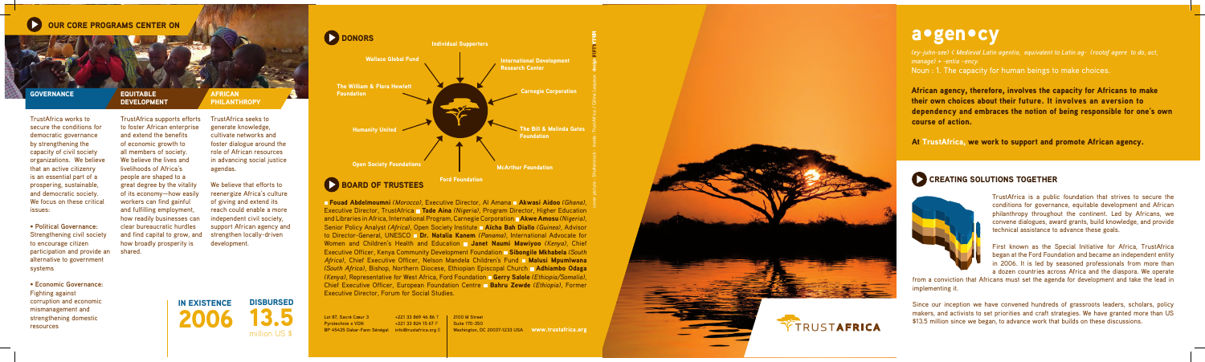# OUR CORE PROGRAMS CENTER ON

#### **GOVERNANCE**

#### **EQUITABLE DEVELOPMENT**



*(ey-juhn-see) < Medieval Latin agentia, equivalent to Latin ag- (rootof agere to do, act, manage) + -entia –ency.* Noun : 1. The capacity for human beings to make choices.

African agency, therefore, involves the capacity for Africans to make their own choices about their future. It involves an aversion to dependency and embraces the notion of being responsible for one's own course of action.

At TrustAfrica, we work to support and promote African agency.

## CREATING SOLUTIONS TOGETHER



TrustAfrica is a public foundation that strives to secure the conditions for governance, equitable development and African philanthropy throughout the continent. Led by Africans, we convene dialogues, award grants, build knowledge, and provide technical assistance to advance these goals.

First known as the Special Initiative for Africa, TrustAfrica began at the Ford Foundation and became an independent entity in 2006. It is led by seasoned professionals from more than a dozen countries across Africa and the diaspora. We operate

from a conviction that Africans must set the agenda for development and take the lead in implementing it.

Since our inception we have convened hundreds of grassroots leaders, scholars, policy makers, and activists to set priorities and craft strategies. We have granted more than US \$13.5 million since we began, to advance work that builds on these discussions.

TrustAfrica works to secure the conditions for democratic governance by strengthening the capacity of civil society organizations. We believe that an active citizenry is an essential part of a prospering, sustainable, and democratic society. We focus on these critical issues:

• **Political Governance:** Strengthening civil society to encourage citizen participation and provide an shared. alternative to government systems

• **Economic Governance:** Fighting against corruption and economic mismanagement and strengthening domestic resources

**Fouad Abdelmoumni** *(Morocco)*, Executive Director, Al Amana **Akwasi Aidoo** *(Ghana)*, Executive Director, TrustAfrica Tade Aina *(Nigeria)*, Program Director, Higher Education and Libraries in Africa, International Program, Carnegie Corporation **Akwe Amosu** *(Nigeria)*, Senior Policy Analyst *(Africa)*, Open Society Institute **Aïcha Bah Diallo** *(Guinea)*, Advisor to Director-General, UNESCO **Dr. Natalia Kanem** *(Panama)*, International Advocate for Women and Children's Health and Education **Janet Naumi Mawiyoo** (Kenya), Chief Executive Officer, Kenya Community Development Foundation Sibongile Mkhabela *(South*  Africa), Chief Executive Officer, Nelson Mandela Children's Fund **n Malusi Mpumlwana** *(South Africa)*, Bishop, Northern Diocese, Ethiopian Episcopal Church Adhiambo Odaga *(Kenya)*, Representative for West Africa, Ford Foundation Gerry Salole *(Ethiopia/Somalia)*, Chief Executive Officer, European Foundation Centre Bahru Zewde *(Ethiopia)*, Former Executive Director, Forum for Social Studies.

TrustAfrica supports efforts to foster African enterprise and extend the benefits of economic growth to all members of society. We believe the lives and livelihoods of Africa's people are shaped to a great degree by the vitality of its economy—how easily workers can find gainful and fulfilling employment, how readily businesses can clear bureaucratic hurdles and find capital to grow, and how broadly prosperity is

African Philanthropy

TrustAfrica seeks to generate knowledge, cultivate networks and foster dialogue around the role of African resources in advancing social justice agendas.

We believe that efforts to reenergize Africa's culture of giving and extend its reach could enable a more independent civil society, support African agency and strengthen locally-driven development.

**DISBURSED** 

2006

BOARD OF TRUSTEES

**DONORS** 

**Foundation** 

13.5

IN EXISTENCE

million US \$



www.trustafrica.org **Washington, DC 20037-1233 USA 2100 M Street Suite 170-350**

design

**Lot 87, Sacré Cœur 3 Pyrotechnie x VDN BP 45435 Dakar-Fann Sénégal info@trustafrica.org E +221 33 869 46 86 T +221 33 824 15 67 F**

cover picture : Shutterstock - inside :TrustAfrica / Céline Lequeux design



TRUSTAFRICA